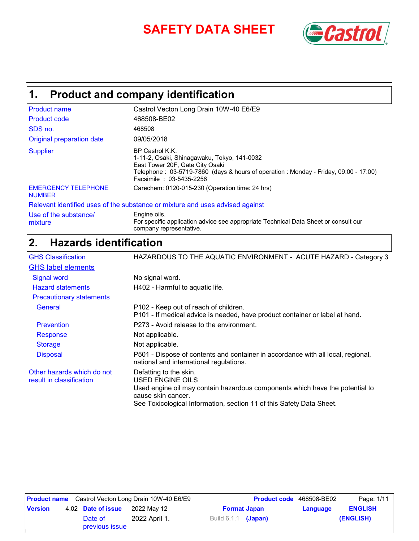# SAFETY DATA SHEET **SAFETY**



### **Product and company identification 1.**

| <b>Product name</b>                         | Castrol Vecton Long Drain 10W-40 E6/E9                                                                                                                                                                              |
|---------------------------------------------|---------------------------------------------------------------------------------------------------------------------------------------------------------------------------------------------------------------------|
| Product code                                | 468508-BE02                                                                                                                                                                                                         |
| SDS no.                                     | 468508                                                                                                                                                                                                              |
| Original preparation date                   | 09/05/2018                                                                                                                                                                                                          |
| <b>Supplier</b>                             | BP Castrol K.K.<br>1-11-2, Osaki, Shinagawaku, Tokyo, 141-0032<br>East Tower 20F, Gate City Osaki<br>Telephone: 03-5719-7860 (days & hours of operation: Monday - Friday, 09:00 - 17:00)<br>Facsimile: 03-5435-2256 |
| <b>EMERGENCY TELEPHONE</b><br><b>NUMBER</b> | Carechem: 0120-015-230 (Operation time: 24 hrs)                                                                                                                                                                     |
|                                             | Relevant identified uses of the substance or mixture and uses advised against                                                                                                                                       |
| Use of the substance/<br>mixture            | Engine oils.<br>For specific application advice see appropriate Technical Data Sheet or consult our                                                                                                                 |

For specific application advice see appropriate Technical Data Sheet or consult our company representative.

### **Hazards identification 2.**

| <b>GHS Classification</b>                              | HAZARDOUS TO THE AQUATIC ENVIRONMENT - ACUTE HAZARD - Category 3                                                                                                                                                         |
|--------------------------------------------------------|--------------------------------------------------------------------------------------------------------------------------------------------------------------------------------------------------------------------------|
| <b>GHS label elements</b>                              |                                                                                                                                                                                                                          |
| <b>Signal word</b>                                     | No signal word.                                                                                                                                                                                                          |
| <b>Hazard statements</b>                               | H402 - Harmful to aquatic life.                                                                                                                                                                                          |
| <b>Precautionary statements</b>                        |                                                                                                                                                                                                                          |
| <b>General</b>                                         | P102 - Keep out of reach of children.<br>P101 - If medical advice is needed, have product container or label at hand.                                                                                                    |
| <b>Prevention</b>                                      | P273 - Avoid release to the environment.                                                                                                                                                                                 |
| <b>Response</b>                                        | Not applicable.                                                                                                                                                                                                          |
| <b>Storage</b>                                         | Not applicable.                                                                                                                                                                                                          |
| <b>Disposal</b>                                        | P501 - Dispose of contents and container in accordance with all local, regional,<br>national and international regulations.                                                                                              |
| Other hazards which do not<br>result in classification | Defatting to the skin.<br>USED ENGINE OILS<br>Used engine oil may contain hazardous components which have the potential to<br>cause skin cancer.<br>See Toxicological Information, section 11 of this Safety Data Sheet. |

|                |                           | <b>Product name</b> Castrol Vecton Long Drain 10W-40 E6/E9 |                       | <b>Product code</b> 468508-BE02 |          | Page: 1/11     |
|----------------|---------------------------|------------------------------------------------------------|-----------------------|---------------------------------|----------|----------------|
| <b>Version</b> | 4.02 Date of issue        | 2022 May 12                                                |                       | <b>Format Japan</b>             | Language | <b>ENGLISH</b> |
|                | Date of<br>previous issue | 2022 April 1.                                              | Build $6.1.1$ (Japan) |                                 |          | (ENGLISH)      |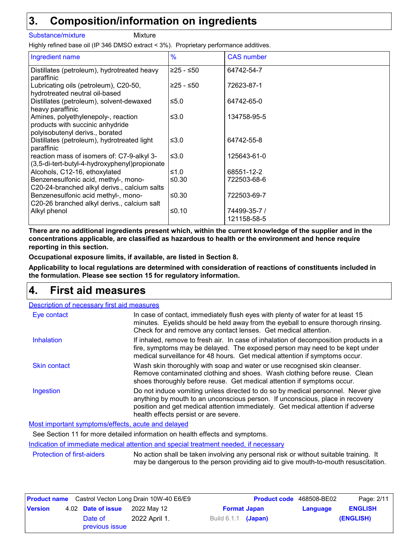### **Composition/information on ingredients 3.**

#### Substance/mixture Mixture

Highly refined base oil (IP 346 DMSO extract < 3%). Proprietary performance additives.

| Ingredient name                                                                                            | $\frac{9}{6}$ | <b>CAS</b> number           |
|------------------------------------------------------------------------------------------------------------|---------------|-----------------------------|
| Distillates (petroleum), hydrotreated heavy<br>paraffinic                                                  | $≥25 - ≤50$   | 64742-54-7                  |
| Lubricating oils (petroleum), C20-50,<br>hydrotreated neutral oil-based                                    | $≥25 - ≤50$   | 72623-87-1                  |
| Distillates (petroleum), solvent-dewaxed<br>heavy paraffinic                                               | $≤5.0$        | 64742-65-0                  |
| Amines, polyethylenepoly-, reaction<br>products with succinic anhydride<br>polyisobutenyl derivs., borated | ≤ $3.0$       | 134758-95-5                 |
| Distillates (petroleum), hydrotreated light<br>paraffinic                                                  | ≤3.0          | 64742-55-8                  |
| reaction mass of isomers of: C7-9-alkyl 3-<br>(3,5-di-tert-butyl-4-hydroxyphenyl)propionate                | ≤3.0          | 125643-61-0                 |
| Alcohols, C12-16, ethoxylated                                                                              | ≤1.0          | 68551-12-2                  |
| Benzenesulfonic acid, methyl-, mono-<br>C20-24-branched alkyl derivs., calcium salts                       | ≤0.30         | 722503-68-6                 |
| Benzenesulfonic acid methyl-, mono-<br>C20-26 branched alkyl derivs., calcium salt                         | ≤0.30         | 722503-69-7                 |
| Alkyl phenol                                                                                               | ≤0.10         | 74499-35-7 /<br>121158-58-5 |

**There are no additional ingredients present which, within the current knowledge of the supplier and in the concentrations applicable, are classified as hazardous to health or the environment and hence require reporting in this section.**

**Occupational exposure limits, if available, are listed in Section 8.**

**Applicability to local regulations are determined with consideration of reactions of constituents included in the formulation. Please see section 15 for regulatory information.**

### **First aid measures 4.**

| <b>Description of necessary first aid measures</b> |                                                                                                                                                                                                                                                                                                |
|----------------------------------------------------|------------------------------------------------------------------------------------------------------------------------------------------------------------------------------------------------------------------------------------------------------------------------------------------------|
| Eye contact                                        | In case of contact, immediately flush eyes with plenty of water for at least 15<br>minutes. Eyelids should be held away from the eyeball to ensure thorough rinsing.<br>Check for and remove any contact lenses. Get medical attention.                                                        |
| Inhalation                                         | If inhaled, remove to fresh air. In case of inhalation of decomposition products in a<br>fire, symptoms may be delayed. The exposed person may need to be kept under<br>medical surveillance for 48 hours. Get medical attention if symptoms occur.                                            |
| <b>Skin contact</b>                                | Wash skin thoroughly with soap and water or use recognised skin cleanser.<br>Remove contaminated clothing and shoes. Wash clothing before reuse. Clean<br>shoes thoroughly before reuse. Get medical attention if symptoms occur.                                                              |
| Ingestion                                          | Do not induce vomiting unless directed to do so by medical personnel. Never give<br>anything by mouth to an unconscious person. If unconscious, place in recovery<br>position and get medical attention immediately. Get medical attention if adverse<br>health effects persist or are severe. |

Most important symptoms/effects, acute and delayed

See Section 11 for more detailed information on health effects and symptoms.

Indication of immediate medical attention and special treatment needed, if necessary

Protection of first-aiders No action shall be taken involving any personal risk or without suitable training. It may be dangerous to the person providing aid to give mouth-to-mouth resuscitation.

|                |                           | <b>Product name</b> Castrol Vecton Long Drain 10W-40 E6/E9 |                       | <b>Product code</b> 468508-BE02 |          | Page: 2/11     |
|----------------|---------------------------|------------------------------------------------------------|-----------------------|---------------------------------|----------|----------------|
| <b>Version</b> | 4.02 Date of issue        | 2022 May 12                                                |                       | <b>Format Japan</b>             | Language | <b>ENGLISH</b> |
|                | Date of<br>previous issue | 2022 April 1.                                              | Build $6.1.1$ (Japan) |                                 |          | (ENGLISH)      |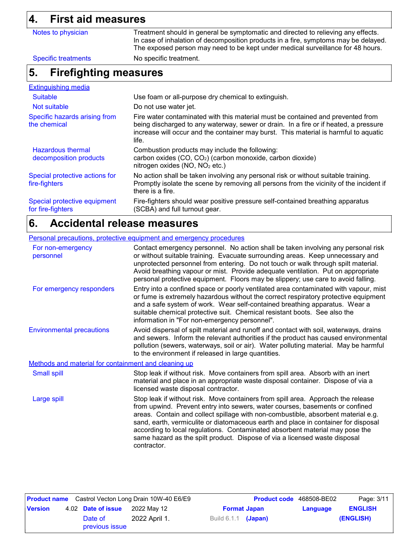### **4. First aid measures**

| 4.<br>FIFST ald measures                           |                                                                                                                                                                                                                                                                          |  |  |  |
|----------------------------------------------------|--------------------------------------------------------------------------------------------------------------------------------------------------------------------------------------------------------------------------------------------------------------------------|--|--|--|
| Notes to physician                                 | Treatment should in general be symptomatic and directed to relieving any effects.<br>In case of inhalation of decomposition products in a fire, symptoms may be delayed.<br>The exposed person may need to be kept under medical surveillance for 48 hours.              |  |  |  |
| <b>Specific treatments</b>                         | No specific treatment.                                                                                                                                                                                                                                                   |  |  |  |
| <b>Firefighting measures</b><br>5.                 |                                                                                                                                                                                                                                                                          |  |  |  |
| <b>Extinguishing media</b>                         |                                                                                                                                                                                                                                                                          |  |  |  |
| <b>Suitable</b>                                    | Use foam or all-purpose dry chemical to extinguish.                                                                                                                                                                                                                      |  |  |  |
| Not suitable                                       | Do not use water jet.                                                                                                                                                                                                                                                    |  |  |  |
| Specific hazards arising from<br>the chemical      | Fire water contaminated with this material must be contained and prevented from<br>being discharged to any waterway, sewer or drain. In a fire or if heated, a pressure<br>increase will occur and the container may burst. This material is harmful to aquatic<br>life. |  |  |  |
| <b>Hazardous thermal</b><br>decomposition products | Combustion products may include the following:<br>carbon oxides (CO, CO <sub>2</sub> ) (carbon monoxide, carbon dioxide)<br>nitrogen oxides (NO, NO <sub>2</sub> etc.)                                                                                                   |  |  |  |
| Special protective actions for<br>fire-fighters    | No action shall be taken involving any personal risk or without suitable training.<br>Promptly isolate the scene by removing all persons from the vicinity of the incident if<br>there is a fire.                                                                        |  |  |  |
| Special protective equipment<br>for fire-fighters  | Fire-fighters should wear positive pressure self-contained breathing apparatus<br>(SCBA) and full turnout gear.                                                                                                                                                          |  |  |  |

### **Accidental release measures 6.**

#### Environmental precautions Personal precautions, protective equipment and emergency procedures Stop leak if without risk. Move containers from spill area. Approach the release from upwind. Prevent entry into sewers, water courses, basements or confined areas. Contain and collect spillage with non-combustible, absorbent material e.g. sand, earth, vermiculite or diatomaceous earth and place in container for disposal according to local regulations. Contaminated absorbent material may pose the same hazard as the spilt product. Dispose of via a licensed waste disposal contractor. Contact emergency personnel. No action shall be taken involving any personal risk or without suitable training. Evacuate surrounding areas. Keep unnecessary and unprotected personnel from entering. Do not touch or walk through spilt material. Avoid breathing vapour or mist. Provide adequate ventilation. Put on appropriate personal protective equipment. Floors may be slippery; use care to avoid falling. Avoid dispersal of spilt material and runoff and contact with soil, waterways, drains and sewers. Inform the relevant authorities if the product has caused environmental pollution (sewers, waterways, soil or air). Water polluting material. May be harmful to the environment if released in large quantities. Large spill Stop leak if without risk. Move containers from spill area. Absorb with an inert material and place in an appropriate waste disposal container. Dispose of via a licensed waste disposal contractor. Small spill Methods and material for containment and cleaning up For non-emergency personnel For emergency responders Entry into a confined space or poorly ventilated area contaminated with vapour, mist or fume is extremely hazardous without the correct respiratory protective equipment and a safe system of work. Wear self-contained breathing apparatus. Wear a suitable chemical protective suit. Chemical resistant boots. See also the information in "For non-emergency personnel".

| <b>Product name</b> Castrol Vecton Long Drain 10W-40 E6/E9 |  | <b>Product code</b> 468508-BE02 |               |                            | Page: 3/11          |          |                |
|------------------------------------------------------------|--|---------------------------------|---------------|----------------------------|---------------------|----------|----------------|
| <b>Version</b>                                             |  | 4.02 Date of issue              | 2022 May 12   |                            | <b>Format Japan</b> | Language | <b>ENGLISH</b> |
|                                                            |  | Date of<br>previous issue       | 2022 April 1. | Build 6.1.1 <b>(Japan)</b> |                     |          | (ENGLISH)      |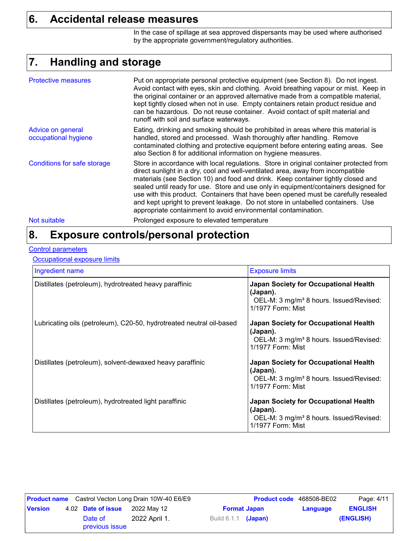### **6. Accidental release measures**

In the case of spillage at sea approved dispersants may be used where authorised by the appropriate government/regulatory authorities.

### **Handling and storage 7.**

| <b>Protective measures</b>                | Put on appropriate personal protective equipment (see Section 8). Do not ingest.<br>Avoid contact with eyes, skin and clothing. Avoid breathing vapour or mist. Keep in<br>the original container or an approved alternative made from a compatible material,<br>kept tightly closed when not in use. Empty containers retain product residue and<br>can be hazardous. Do not reuse container. Avoid contact of spilt material and<br>runoff with soil and surface waterways.                                                                                                                  |
|-------------------------------------------|------------------------------------------------------------------------------------------------------------------------------------------------------------------------------------------------------------------------------------------------------------------------------------------------------------------------------------------------------------------------------------------------------------------------------------------------------------------------------------------------------------------------------------------------------------------------------------------------|
| Advice on general<br>occupational hygiene | Eating, drinking and smoking should be prohibited in areas where this material is<br>handled, stored and processed. Wash thoroughly after handling. Remove<br>contaminated clothing and protective equipment before entering eating areas. See<br>also Section 8 for additional information on hygiene measures.                                                                                                                                                                                                                                                                               |
| <b>Conditions for safe storage</b>        | Store in accordance with local regulations. Store in original container protected from<br>direct sunlight in a dry, cool and well-ventilated area, away from incompatible<br>materials (see Section 10) and food and drink. Keep container tightly closed and<br>sealed until ready for use. Store and use only in equipment/containers designed for<br>use with this product. Containers that have been opened must be carefully resealed<br>and kept upright to prevent leakage. Do not store in unlabelled containers. Use<br>appropriate containment to avoid environmental contamination. |
| Not suitable                              | Prolonged exposure to elevated temperature                                                                                                                                                                                                                                                                                                                                                                                                                                                                                                                                                     |

### **Exposure controls/personal protection 8.**

#### **Control parameters**

**Occupational exposure limits** 

| Ingredient name                                                      | <b>Exposure limits</b>                                                                                                               |
|----------------------------------------------------------------------|--------------------------------------------------------------------------------------------------------------------------------------|
| Distillates (petroleum), hydrotreated heavy paraffinic               | <b>Japan Society for Occupational Health</b><br>(Japan).<br>OEL-M: 3 mg/m <sup>3</sup> 8 hours. Issued/Revised:<br>1/1977 Form: Mist |
| Lubricating oils (petroleum), C20-50, hydrotreated neutral oil-based | <b>Japan Society for Occupational Health</b><br>(Japan).<br>OEL-M: 3 mg/m <sup>3</sup> 8 hours. Issued/Revised:<br>1/1977 Form: Mist |
| Distillates (petroleum), solvent-dewaxed heavy paraffinic            | <b>Japan Society for Occupational Health</b><br>(Japan).<br>OEL-M: 3 mg/m <sup>3</sup> 8 hours. Issued/Revised:<br>1/1977 Form: Mist |
| Distillates (petroleum), hydrotreated light paraffinic               | <b>Japan Society for Occupational Health</b><br>(Japan).<br>OEL-M: 3 mg/m <sup>3</sup> 8 hours. Issued/Revised:<br>1/1977 Form: Mist |

|                |                           | <b>Product name</b> Castrol Vecton Long Drain 10W-40 E6/E9 |                     | <b>Product code</b> 468508-BE02 |          | Page: 4/11     |
|----------------|---------------------------|------------------------------------------------------------|---------------------|---------------------------------|----------|----------------|
| <b>Version</b> | 4.02 Date of issue        | 2022 May 12                                                |                     | <b>Format Japan</b>             | Language | <b>ENGLISH</b> |
|                | Date of<br>previous issue | 2022 April 1.                                              | Build 6.1.1 (Japan) |                                 |          | (ENGLISH)      |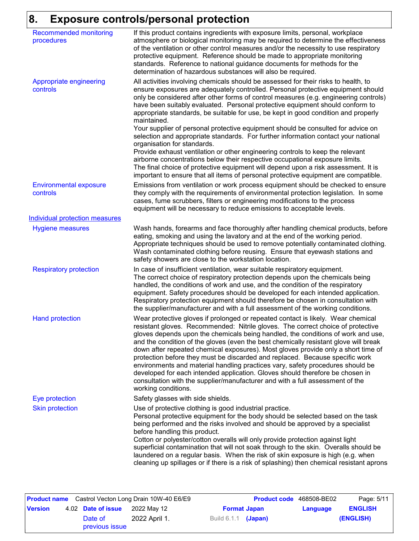## **8. Exposure controls/personal protection**

| <b>Recommended monitoring</b><br>procedures | If this product contains ingredients with exposure limits, personal, workplace<br>atmosphere or biological monitoring may be required to determine the effectiveness<br>of the ventilation or other control measures and/or the necessity to use respiratory<br>protective equipment. Reference should be made to appropriate monitoring<br>standards. Reference to national guidance documents for methods for the<br>determination of hazardous substances will also be required.                                                                                                                                                                                                                                                                                                                                                                                                                                                                                                                           |
|---------------------------------------------|---------------------------------------------------------------------------------------------------------------------------------------------------------------------------------------------------------------------------------------------------------------------------------------------------------------------------------------------------------------------------------------------------------------------------------------------------------------------------------------------------------------------------------------------------------------------------------------------------------------------------------------------------------------------------------------------------------------------------------------------------------------------------------------------------------------------------------------------------------------------------------------------------------------------------------------------------------------------------------------------------------------|
| Appropriate engineering<br>controls         | All activities involving chemicals should be assessed for their risks to health, to<br>ensure exposures are adequately controlled. Personal protective equipment should<br>only be considered after other forms of control measures (e.g. engineering controls)<br>have been suitably evaluated. Personal protective equipment should conform to<br>appropriate standards, be suitable for use, be kept in good condition and properly<br>maintained.<br>Your supplier of personal protective equipment should be consulted for advice on<br>selection and appropriate standards. For further information contact your national<br>organisation for standards.<br>Provide exhaust ventilation or other engineering controls to keep the relevant<br>airborne concentrations below their respective occupational exposure limits.<br>The final choice of protective equipment will depend upon a risk assessment. It is<br>important to ensure that all items of personal protective equipment are compatible. |
| <b>Environmental exposure</b><br>controls   | Emissions from ventilation or work process equipment should be checked to ensure<br>they comply with the requirements of environmental protection legislation. In some<br>cases, fume scrubbers, filters or engineering modifications to the process<br>equipment will be necessary to reduce emissions to acceptable levels.                                                                                                                                                                                                                                                                                                                                                                                                                                                                                                                                                                                                                                                                                 |
| <b>Individual protection measures</b>       |                                                                                                                                                                                                                                                                                                                                                                                                                                                                                                                                                                                                                                                                                                                                                                                                                                                                                                                                                                                                               |
| <b>Hygiene measures</b>                     | Wash hands, forearms and face thoroughly after handling chemical products, before<br>eating, smoking and using the lavatory and at the end of the working period.<br>Appropriate techniques should be used to remove potentially contaminated clothing.<br>Wash contaminated clothing before reusing. Ensure that eyewash stations and<br>safety showers are close to the workstation location.                                                                                                                                                                                                                                                                                                                                                                                                                                                                                                                                                                                                               |
| <b>Respiratory protection</b>               | In case of insufficient ventilation, wear suitable respiratory equipment.<br>The correct choice of respiratory protection depends upon the chemicals being<br>handled, the conditions of work and use, and the condition of the respiratory<br>equipment. Safety procedures should be developed for each intended application.<br>Respiratory protection equipment should therefore be chosen in consultation with<br>the supplier/manufacturer and with a full assessment of the working conditions.                                                                                                                                                                                                                                                                                                                                                                                                                                                                                                         |
| <b>Hand protection</b>                      | Wear protective gloves if prolonged or repeated contact is likely. Wear chemical<br>resistant gloves. Recommended: Nitrile gloves. The correct choice of protective<br>gloves depends upon the chemicals being handled, the conditions of work and use,<br>and the condition of the gloves (even the best chemically resistant glove will break<br>down after repeated chemical exposures). Most gloves provide only a short time of<br>protection before they must be discarded and replaced. Because specific work<br>environments and material handling practices vary, safety procedures should be<br>developed for each intended application. Gloves should therefore be chosen in<br>consultation with the supplier/manufacturer and with a full assessment of the<br>working conditions.                                                                                                                                                                                                               |
| Eye protection                              | Safety glasses with side shields.                                                                                                                                                                                                                                                                                                                                                                                                                                                                                                                                                                                                                                                                                                                                                                                                                                                                                                                                                                             |
| <b>Skin protection</b>                      | Use of protective clothing is good industrial practice.<br>Personal protective equipment for the body should be selected based on the task<br>being performed and the risks involved and should be approved by a specialist<br>before handling this product.<br>Cotton or polyester/cotton overalls will only provide protection against light<br>superficial contamination that will not soak through to the skin. Overalls should be                                                                                                                                                                                                                                                                                                                                                                                                                                                                                                                                                                        |

|                |                           | <b>Product name</b> Castrol Vecton Long Drain 10W-40 E6/E9 |                            | <b>Product code</b> 468508-BE02 |          | Page: 5/11     |
|----------------|---------------------------|------------------------------------------------------------|----------------------------|---------------------------------|----------|----------------|
| <b>Version</b> | 4.02 Date of issue        | 2022 Mav 12                                                | <b>Format Japan</b>        |                                 | Language | <b>ENGLISH</b> |
|                | Date of<br>previous issue | 2022 April 1.                                              | Build 6.1.1 <b>(Japan)</b> |                                 |          | (ENGLISH)      |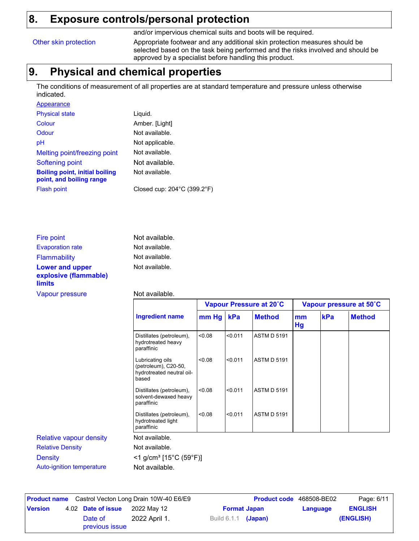### **8. Exposure controls/personal protection**

and/or impervious chemical suits and boots will be required.

Other skin protection Appropriate footwear and any additional skin protection measures should be selected based on the task being performed and the risks involved and should be approved by a specialist before handling this product.

### **9. Physical and chemical properties**

The conditions of measurement of all properties are at standard temperature and pressure unless otherwise indicated.

| Appearance                                                        |                                                  |
|-------------------------------------------------------------------|--------------------------------------------------|
| <b>Physical state</b>                                             | Liquid.                                          |
| Colour                                                            | Amber. [Light]                                   |
| Odour                                                             | Not available.                                   |
| рH                                                                | Not applicable.                                  |
| Melting point/freezing point                                      | Not available.                                   |
| Softening point                                                   | Not available.                                   |
| <b>Boiling point, initial boiling</b><br>point, and boiling range | Not available.                                   |
| <b>Flash point</b>                                                | Closed cup: $204^{\circ}$ C (399.2 $^{\circ}$ F) |

| Fire point                                      | Not available. |
|-------------------------------------------------|----------------|
| <b>Evaporation rate</b>                         | Not available. |
| <b>Flammability</b>                             | Not available. |
| <b>Lower and upper</b><br>explosive (flammable) | Not available. |
| <b>limits</b>                                   |                |

#### Vapour pressure **Not available**.

|                                |                                                                                |        | Vapour Pressure at 20°C |                    |          | Vapour pressure at 50°C |               |  |
|--------------------------------|--------------------------------------------------------------------------------|--------|-------------------------|--------------------|----------|-------------------------|---------------|--|
|                                | <b>Ingredient name</b>                                                         | mm Hg  | kPa                     | <b>Method</b>      | mm<br>Hg | kPa                     | <b>Method</b> |  |
|                                | Distillates (petroleum),<br>hydrotreated heavy<br>paraffinic                   | 0.08   | < 0.011                 | <b>ASTM D 5191</b> |          |                         |               |  |
|                                | Lubricating oils<br>(petroleum), C20-50,<br>hydrotreated neutral oil-<br>based | < 0.08 | < 0.011                 | <b>ASTM D 5191</b> |          |                         |               |  |
|                                | Distillates (petroleum),<br>solvent-dewaxed heavy<br>paraffinic                | < 0.08 | < 0.011                 | <b>ASTM D 5191</b> |          |                         |               |  |
|                                | Distillates (petroleum),<br>hydrotreated light<br>paraffinic                   | < 0.08 | < 0.011                 | <b>ASTM D 5191</b> |          |                         |               |  |
| <b>Relative vapour density</b> | Not available.                                                                 |        |                         |                    |          |                         |               |  |
| <b>Relative Density</b>        | Not available.                                                                 |        |                         |                    |          |                         |               |  |
| <b>Density</b>                 | $<$ 1 g/cm <sup>3</sup> [15°C (59°F)]                                          |        |                         |                    |          |                         |               |  |
| Auto-ignition temperature      | Not available.                                                                 |        |                         |                    |          |                         |               |  |

**Date of issue** 2022 May 12 **Product name** Castrol Vecton Long Drain 10W-40 E6/E9 **Product code** 468508-BE02 Page: 6/11 **Version** 4.02 **Date of issue** 2022 May 12 **Format Japan Language** Product code 468508-BE02 **Date of 2022 April 1.** Build 6.1.1 (Japan) (ENGLISH) **ENGLISH** previous issue 2022 April 1.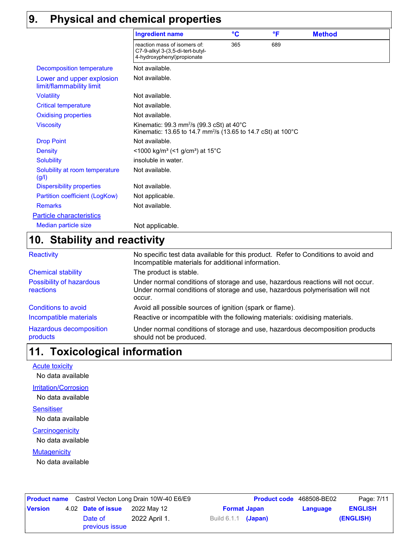### **9. Physical and chemical properties**

|                                                       | <b>Ingredient name</b>                                                                                                            | $\rm ^{\circ}C$ | °F  | <b>Method</b> |  |
|-------------------------------------------------------|-----------------------------------------------------------------------------------------------------------------------------------|-----------------|-----|---------------|--|
|                                                       | reaction mass of isomers of:<br>C7-9-alkyl 3-(3,5-di-tert-butyl-<br>4-hydroxyphenyl)propionate                                    | 365             | 689 |               |  |
| <b>Decomposition temperature</b>                      | Not available.                                                                                                                    |                 |     |               |  |
| Lower and upper explosion<br>limit/flammability limit | Not available.                                                                                                                    |                 |     |               |  |
| <b>Volatility</b>                                     | Not available.                                                                                                                    |                 |     |               |  |
| <b>Critical temperature</b>                           | Not available.                                                                                                                    |                 |     |               |  |
| <b>Oxidising properties</b>                           | Not available.                                                                                                                    |                 |     |               |  |
| <b>Viscosity</b>                                      | Kinematic: 99.3 mm <sup>2</sup> /s (99.3 cSt) at 40°C<br>Kinematic: 13.65 to 14.7 mm <sup>2</sup> /s (13.65 to 14.7 cSt) at 100°C |                 |     |               |  |
| <b>Drop Point</b>                                     | Not available.                                                                                                                    |                 |     |               |  |
| <b>Density</b>                                        | <1000 kg/m <sup>3</sup> (<1 g/cm <sup>3</sup> ) at 15°C                                                                           |                 |     |               |  |
| <b>Solubility</b>                                     | insoluble in water.                                                                                                               |                 |     |               |  |
| Solubility at room temperature<br>(g/l)               | Not available.                                                                                                                    |                 |     |               |  |
| <b>Dispersibility properties</b>                      | Not available.                                                                                                                    |                 |     |               |  |
| Partition coefficient (LogKow)                        | Not applicable.                                                                                                                   |                 |     |               |  |
| <b>Remarks</b>                                        | Not available.                                                                                                                    |                 |     |               |  |
| <b>Particle characteristics</b>                       |                                                                                                                                   |                 |     |               |  |
| Median particle size                                  | Not applicable.                                                                                                                   |                 |     |               |  |

### **Stability and reactivity 10.**

| <b>Reactivity</b>                          | No specific test data available for this product. Refer to Conditions to avoid and<br>Incompatible materials for additional information.                                   |
|--------------------------------------------|----------------------------------------------------------------------------------------------------------------------------------------------------------------------------|
| <b>Chemical stability</b>                  | The product is stable.                                                                                                                                                     |
| Possibility of hazardous<br>reactions      | Under normal conditions of storage and use, hazardous reactions will not occur.<br>Under normal conditions of storage and use, hazardous polymerisation will not<br>occur. |
| <b>Conditions to avoid</b>                 | Avoid all possible sources of ignition (spark or flame).                                                                                                                   |
| Incompatible materials                     | Reactive or incompatible with the following materials: oxidising materials.                                                                                                |
| <b>Hazardous decomposition</b><br>products | Under normal conditions of storage and use, hazardous decomposition products<br>should not be produced.                                                                    |

### **Toxicological information 11.**

**Acute toxicity** 

No data available

**Irritation/Corrosion** 

No data available

#### **Sensitiser**

No data available

#### **Carcinogenicity**

No data available

#### **Mutagenicity**

No data available

| <b>Product name</b> Castrol Vecton Long Drain 10W-40 E6/E9 |  |                           | <b>Product code</b> 468508-BE02 |                            | Page: 7/11          |          |                |
|------------------------------------------------------------|--|---------------------------|---------------------------------|----------------------------|---------------------|----------|----------------|
| <b>Version</b>                                             |  | 4.02 Date of issue        | 2022 Mav 12                     |                            | <b>Format Japan</b> | Language | <b>ENGLISH</b> |
|                                                            |  | Date of<br>previous issue | 2022 April 1.                   | Build 6.1.1 <b>(Japan)</b> |                     |          | (ENGLISH)      |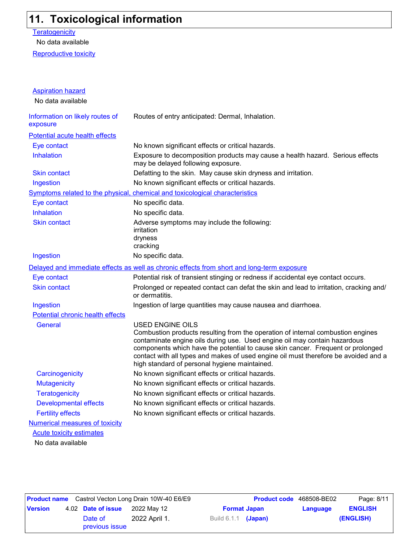### **11. Toxicological information**

**Teratogenicity** 

No data available

Reproductive toxicity

| <b>Aspiration hazard</b>                    |                                                                                                                                                                                                                                                                                                                                                                                                                    |
|---------------------------------------------|--------------------------------------------------------------------------------------------------------------------------------------------------------------------------------------------------------------------------------------------------------------------------------------------------------------------------------------------------------------------------------------------------------------------|
| No data available                           |                                                                                                                                                                                                                                                                                                                                                                                                                    |
| Information on likely routes of<br>exposure | Routes of entry anticipated: Dermal, Inhalation.                                                                                                                                                                                                                                                                                                                                                                   |
| Potential acute health effects              |                                                                                                                                                                                                                                                                                                                                                                                                                    |
| Eye contact                                 | No known significant effects or critical hazards.                                                                                                                                                                                                                                                                                                                                                                  |
| <b>Inhalation</b>                           | Exposure to decomposition products may cause a health hazard. Serious effects<br>may be delayed following exposure.                                                                                                                                                                                                                                                                                                |
| <b>Skin contact</b>                         | Defatting to the skin. May cause skin dryness and irritation.                                                                                                                                                                                                                                                                                                                                                      |
| Ingestion                                   | No known significant effects or critical hazards.                                                                                                                                                                                                                                                                                                                                                                  |
|                                             | Symptoms related to the physical, chemical and toxicological characteristics                                                                                                                                                                                                                                                                                                                                       |
| Eye contact                                 | No specific data.                                                                                                                                                                                                                                                                                                                                                                                                  |
| <b>Inhalation</b>                           | No specific data.                                                                                                                                                                                                                                                                                                                                                                                                  |
| <b>Skin contact</b>                         | Adverse symptoms may include the following:<br>irritation<br>dryness<br>cracking                                                                                                                                                                                                                                                                                                                                   |
| Ingestion                                   | No specific data.                                                                                                                                                                                                                                                                                                                                                                                                  |
|                                             | Delayed and immediate effects as well as chronic effects from short and long-term exposure                                                                                                                                                                                                                                                                                                                         |
| Eye contact                                 | Potential risk of transient stinging or redness if accidental eye contact occurs.                                                                                                                                                                                                                                                                                                                                  |
| <b>Skin contact</b>                         | Prolonged or repeated contact can defat the skin and lead to irritation, cracking and/<br>or dermatitis.                                                                                                                                                                                                                                                                                                           |
| Ingestion                                   | Ingestion of large quantities may cause nausea and diarrhoea.                                                                                                                                                                                                                                                                                                                                                      |
| <b>Potential chronic health effects</b>     |                                                                                                                                                                                                                                                                                                                                                                                                                    |
| <b>General</b>                              | <b>USED ENGINE OILS</b><br>Combustion products resulting from the operation of internal combustion engines<br>contaminate engine oils during use. Used engine oil may contain hazardous<br>components which have the potential to cause skin cancer. Frequent or prolonged<br>contact with all types and makes of used engine oil must therefore be avoided and a<br>high standard of personal hygiene maintained. |
| Carcinogenicity                             | No known significant effects or critical hazards.                                                                                                                                                                                                                                                                                                                                                                  |
| <b>Mutagenicity</b>                         | No known significant effects or critical hazards.                                                                                                                                                                                                                                                                                                                                                                  |
| <b>Teratogenicity</b>                       | No known significant effects or critical hazards.                                                                                                                                                                                                                                                                                                                                                                  |
| <b>Developmental effects</b>                | No known significant effects or critical hazards.                                                                                                                                                                                                                                                                                                                                                                  |
| <b>Fertility effects</b>                    | No known significant effects or critical hazards.                                                                                                                                                                                                                                                                                                                                                                  |
| <b>Numerical measures of toxicity</b>       |                                                                                                                                                                                                                                                                                                                                                                                                                    |
| <b>Acute toxicity estimates</b>             |                                                                                                                                                                                                                                                                                                                                                                                                                    |
| No data available                           |                                                                                                                                                                                                                                                                                                                                                                                                                    |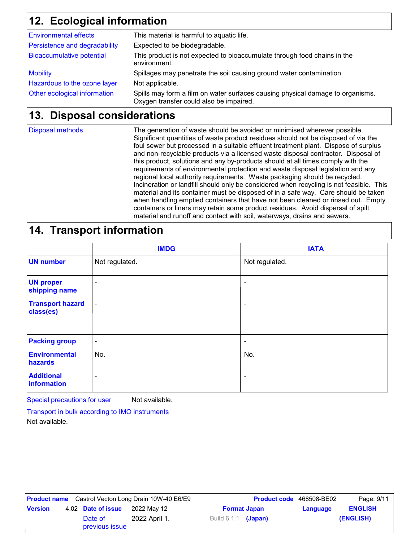### **Ecological information 12.**

| <b>Environmental effects</b>     | This material is harmful to aquatic life.                                                                                 |
|----------------------------------|---------------------------------------------------------------------------------------------------------------------------|
| Persistence and degradability    | Expected to be biodegradable.                                                                                             |
| <b>Bioaccumulative potential</b> | This product is not expected to bioaccumulate through food chains in the<br>environment.                                  |
| <b>Mobility</b>                  | Spillages may penetrate the soil causing ground water contamination.                                                      |
| Hazardous to the ozone layer     | Not applicable.                                                                                                           |
| Other ecological information     | Spills may form a film on water surfaces causing physical damage to organisms.<br>Oxygen transfer could also be impaired. |
|                                  |                                                                                                                           |

### **Disposal considerations 13.**

Disposal methods

The generation of waste should be avoided or minimised wherever possible. Significant quantities of waste product residues should not be disposed of via the foul sewer but processed in a suitable effluent treatment plant. Dispose of surplus and non-recyclable products via a licensed waste disposal contractor. Disposal of this product, solutions and any by-products should at all times comply with the requirements of environmental protection and waste disposal legislation and any regional local authority requirements. Waste packaging should be recycled. Incineration or landfill should only be considered when recycling is not feasible. This material and its container must be disposed of in a safe way. Care should be taken when handling emptied containers that have not been cleaned or rinsed out. Empty containers or liners may retain some product residues. Avoid dispersal of spilt material and runoff and contact with soil, waterways, drains and sewers.

### **14. Transport information**

|                                      | <b>IMDG</b>              | <b>IATA</b>    |
|--------------------------------------|--------------------------|----------------|
| <b>UN number</b>                     | Not regulated.           | Not regulated. |
| <b>UN proper</b><br>shipping name    | $\overline{\phantom{0}}$ | ٠              |
| <b>Transport hazard</b><br>class(es) | $\blacksquare$           |                |
| <b>Packing group</b>                 | $\blacksquare$           | ٠              |
| <b>Environmental</b><br>hazards      | No.                      | No.            |
| <b>Additional</b><br>information     | ٠                        | ٠              |

Special precautions for user Not available.

Transport in bulk according to IMO instruments

Not available.

| <b>Product name</b> Castrol Vecton Long Drain 10W-40 E6/E9 |  | Product code 468508-BE02  |               | Page: 9/11                      |  |                |           |
|------------------------------------------------------------|--|---------------------------|---------------|---------------------------------|--|----------------|-----------|
| <b>Version</b>                                             |  | 4.02 Date of issue        | 2022 May 12   | <b>Format Japan</b><br>Language |  | <b>ENGLISH</b> |           |
|                                                            |  | Date of<br>previous issue | 2022 April 1. | Build 6.1.1 (Japan)             |  |                | (ENGLISH) |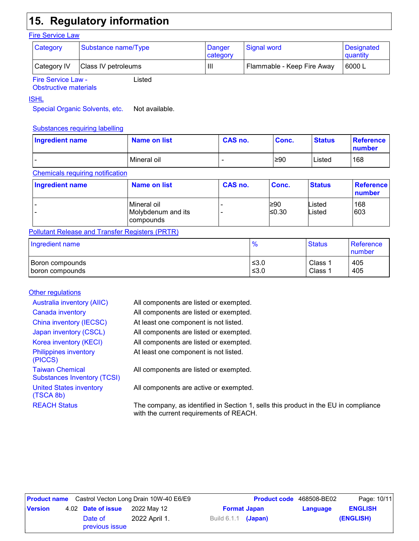### **15. Regulatory information**

#### **Fire Service Law**

| Category           | Substance name/Type                 | Danger<br>category | Signal word                | Designated<br>quantity |  |  |  |  |
|--------------------|-------------------------------------|--------------------|----------------------------|------------------------|--|--|--|--|
| <b>Category IV</b> | Class IV petroleums                 | Ш                  | Flammable - Keep Fire Away | 6000L                  |  |  |  |  |
|                    | <b>Fire Service Law -</b><br>.isted |                    |                            |                        |  |  |  |  |

Fire Service Law - Obstructive materials

#### ISHL

Special Organic Solvents, etc. Not available.

#### Substances requiring labelling

| Ingredient name | Name on list | CAS no. | Conc. | <b>Status</b> | Reference<br>number |
|-----------------|--------------|---------|-------|---------------|---------------------|
| -               | Mineral oil  | -       | ≥90   | Listed        | 168                 |

#### Chemicals requiring notification

| Ingredient name | Name on list                                          | CAS no. | Conc.         | <b>Status</b>    | <b>Reference</b><br>number |
|-----------------|-------------------------------------------------------|---------|---------------|------------------|----------------------------|
|                 | Mineral oil<br>Molybdenum and its<br><b>compounds</b> |         | 1≥90<br>≤0.30 | Listed<br>Listed | 168<br>603                 |

#### Pollutant Release and Transfer Registers (PRTR)

| Ingredient name | $\frac{0}{0}$ | <b>Status</b> | <b>Reference</b><br><b>Inumber</b> |  |
|-----------------|---------------|---------------|------------------------------------|--|
| Boron compounds | ≤3.0          | Class         | 405                                |  |
| boron compounds | ≤ $3.0$       | Class 1       | 405                                |  |

#### **Other regulations**

| <b>Australia inventory (AIIC)</b>                            | All components are listed or exempted.                                                                                         |
|--------------------------------------------------------------|--------------------------------------------------------------------------------------------------------------------------------|
| Canada inventory                                             | All components are listed or exempted.                                                                                         |
| China inventory (IECSC)                                      | At least one component is not listed.                                                                                          |
| Japan inventory (CSCL)                                       | All components are listed or exempted.                                                                                         |
| Korea inventory (KECI)                                       | All components are listed or exempted.                                                                                         |
| <b>Philippines inventory</b><br>(PICCS)                      | At least one component is not listed.                                                                                          |
| <b>Taiwan Chemical</b><br><b>Substances Inventory (TCSI)</b> | All components are listed or exempted.                                                                                         |
| <b>United States inventory</b><br>(TSCA 8b)                  | All components are active or exempted.                                                                                         |
| <b>REACH Status</b>                                          | The company, as identified in Section 1, sells this product in the EU in compliance<br>with the current requirements of REACH. |

| <b>Product name</b> Castrol Vecton Long Drain 10W-40 E6/E9 |  |                           | <b>Product code</b> 468508-BE02 |                            | Page: 10/11         |          |                |
|------------------------------------------------------------|--|---------------------------|---------------------------------|----------------------------|---------------------|----------|----------------|
| <b>Version</b>                                             |  | 4.02 Date of issue        | 2022 Mav 12                     |                            | <b>Format Japan</b> | Language | <b>ENGLISH</b> |
|                                                            |  | Date of<br>previous issue | 2022 April 1.                   | Build 6.1.1 <b>(Japan)</b> |                     |          | (ENGLISH)      |